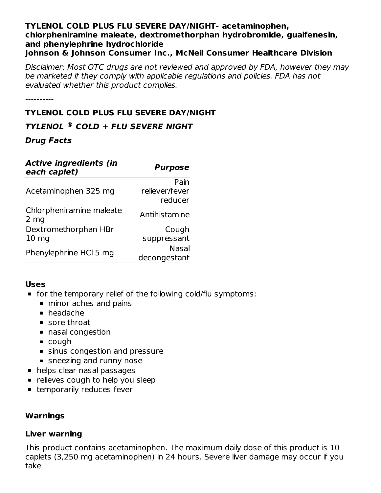#### **TYLENOL COLD PLUS FLU SEVERE DAY/NIGHT- acetaminophen, chlorpheniramine maleate, dextromethorphan hydrobromide, guaifenesin, and phenylephrine hydrochloride Johnson & Johnson Consumer Inc., McNeil Consumer Healthcare Division**

Disclaimer: Most OTC drugs are not reviewed and approved by FDA, however they may be marketed if they comply with applicable regulations and policies. FDA has not evaluated whether this product complies.

----------

# **TYLENOL COLD PLUS FLU SEVERE DAY/NIGHT**

**TYLENOL COLD + FLU SEVERE NIGHT ®**

## **Drug Facts**

| <b>Active ingredients (in</b><br>each caplet) | <b>Purpose</b>            |
|-----------------------------------------------|---------------------------|
|                                               | Pain                      |
| Acetaminophen 325 mg                          | reliever/fever<br>reducer |
| Chlorpheniramine maleate<br>2 <sub>mg</sub>   | Antihistamine             |
| Dextromethorphan HBr                          | Cough                     |
| 10 <sub>mg</sub>                              | suppressant               |
| Phenylephrine HCl 5 mg                        | Nasal<br>decongestant     |

## **Uses**

- for the temporary relief of the following cold/flu symptoms:
	- minor aches and pains
	- headache
	- sore throat
	- nasal congestion
	- cough
	- sinus congestion and pressure
	- **sneezing and runny nose**
- helps clear nasal passages
- **•** relieves cough to help you sleep
- **Example 1** temporarily reduces fever

# **Warnings**

## **Liver warning**

This product contains acetaminophen. The maximum daily dose of this product is 10 caplets (3,250 mg acetaminophen) in 24 hours. Severe liver damage may occur if you take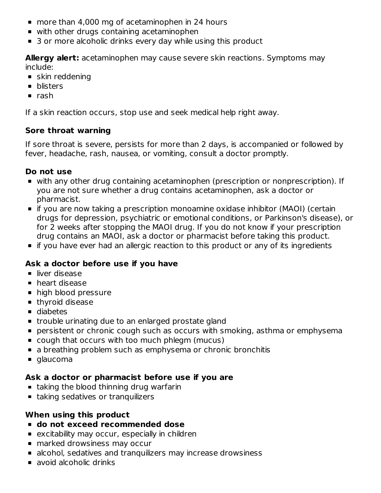- more than 4,000 mg of acetaminophen in 24 hours
- with other drugs containing acetaminophen
- 3 or more alcoholic drinks every day while using this product

**Allergy alert:** acetaminophen may cause severe skin reactions. Symptoms may include:

- $\blacksquare$  skin reddening
- **•** blisters
- $rac{1}{2}$  rash

If a skin reaction occurs, stop use and seek medical help right away.

# **Sore throat warning**

If sore throat is severe, persists for more than 2 days, is accompanied or followed by fever, headache, rash, nausea, or vomiting, consult a doctor promptly.

# **Do not use**

- with any other drug containing acetaminophen (prescription or nonprescription). If you are not sure whether a drug contains acetaminophen, ask a doctor or pharmacist.
- if you are now taking a prescription monoamine oxidase inhibitor (MAOI) (certain drugs for depression, psychiatric or emotional conditions, or Parkinson's disease), or for 2 weeks after stopping the MAOI drug. If you do not know if your prescription drug contains an MAOI, ask a doctor or pharmacist before taking this product.
- if you have ever had an allergic reaction to this product or any of its ingredients

# **Ask a doctor before use if you have**

- liver disease
- **•** heart disease
- **high blood pressure**
- **thyroid disease**
- **diabetes**
- **trouble urinating due to an enlarged prostate gland**
- persistent or chronic cough such as occurs with smoking, asthma or emphysema
- cough that occurs with too much phlegm (mucus)
- **a** breathing problem such as emphysema or chronic bronchitis
- **qlaucoma**

# **Ask a doctor or pharmacist before use if you are**

- **taking the blood thinning drug warfarin**
- **taking sedatives or tranquilizers**

# **When using this product**

- **do not exceed recommended dose**
- **Excitability may occur, especially in children**
- **n** marked drowsiness may occur
- alcohol, sedatives and tranquilizers may increase drowsiness
- avoid alcoholic drinks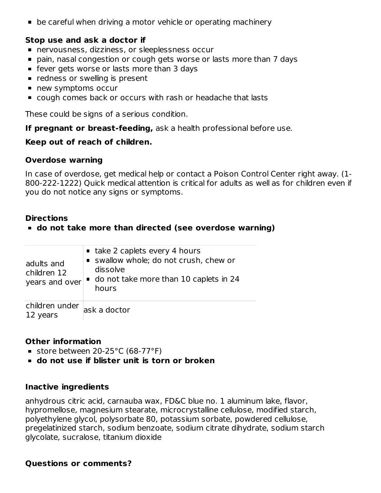be careful when driving a motor vehicle or operating machinery

# **Stop use and ask a doctor if**

- nervousness, dizziness, or sleeplessness occur
- pain, nasal congestion or cough gets worse or lasts more than 7 days
- **fever gets worse or lasts more than 3 days**
- **•** redness or swelling is present
- new symptoms occur
- cough comes back or occurs with rash or headache that lasts

These could be signs of a serious condition.

**If pregnant or breast-feeding,** ask a health professional before use.

#### **Keep out of reach of children.**

#### **Overdose warning**

In case of overdose, get medical help or contact a Poison Control Center right away. (1- 800-222-1222) Quick medical attention is critical for adults as well as for children even if you do not notice any signs or symptoms.

#### **Directions**

## **do not take more than directed (see overdose warning)**

| adults and<br>children 12<br>years and over | • take 2 caplets every 4 hours<br>• swallow whole; do not crush, chew or<br>dissolve<br>• do not take more than 10 caplets in 24<br>hours |
|---------------------------------------------|-------------------------------------------------------------------------------------------------------------------------------------------|
| children under<br>12 years                  | ask a doctor                                                                                                                              |

## **Other information**

- store between 20-25°C (68-77°F)
- **do not use if blister unit is torn or broken**

#### **Inactive ingredients**

anhydrous citric acid, carnauba wax, FD&C blue no. 1 aluminum lake, flavor, hypromellose, magnesium stearate, microcrystalline cellulose, modified starch, polyethylene glycol, polysorbate 80, potassium sorbate, powdered cellulose, pregelatinized starch, sodium benzoate, sodium citrate dihydrate, sodium starch glycolate, sucralose, titanium dioxide

#### **Questions or comments?**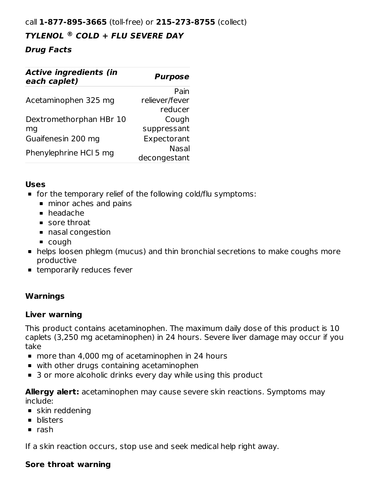call **1-877-895-3665** (toll-free) or **215-273-8755** (collect)

### **TYLENOL COLD + FLU SEVERE DAY ®**

# **Drug Facts**

| <b>Active ingredients (in</b><br>each caplet) | <b>Purpose</b> |  |  |  |
|-----------------------------------------------|----------------|--|--|--|
|                                               | Pain           |  |  |  |
| Acetaminophen 325 mg                          | reliever/fever |  |  |  |
|                                               | reducer        |  |  |  |
| Dextromethorphan HBr 10                       | Cough          |  |  |  |
| mg                                            | suppressant    |  |  |  |
| Guaifenesin 200 mg                            | Expectorant    |  |  |  |
| Phenylephrine HCl 5 mg                        | <b>Nasal</b>   |  |  |  |
|                                               | decongestant   |  |  |  |

#### **Uses**

- for the temporary relief of the following cold/flu symptoms:
	- **n** minor aches and pains
	- headache
	- sore throat
	- nasal congestion
	- cough
- helps loosen phlegm (mucus) and thin bronchial secretions to make coughs more productive
- **Example 1** temporarily reduces fever

## **Warnings**

## **Liver warning**

This product contains acetaminophen. The maximum daily dose of this product is 10 caplets (3,250 mg acetaminophen) in 24 hours. Severe liver damage may occur if you take

- **n** more than 4,000 mg of acetaminophen in 24 hours
- with other drugs containing acetaminophen
- 3 or more alcoholic drinks every day while using this product

**Allergy alert:** acetaminophen may cause severe skin reactions. Symptoms may include:

- **skin reddening**
- **•** blisters
- $rac{1}{2}$  rash

If a skin reaction occurs, stop use and seek medical help right away.

## **Sore throat warning**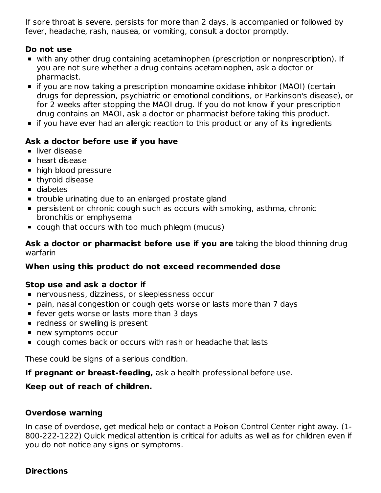If sore throat is severe, persists for more than 2 days, is accompanied or followed by fever, headache, rash, nausea, or vomiting, consult a doctor promptly.

# **Do not use**

- with any other drug containing acetaminophen (prescription or nonprescription). If you are not sure whether a drug contains acetaminophen, ask a doctor or pharmacist.
- if you are now taking a prescription monoamine oxidase inhibitor (MAOI) (certain drugs for depression, psychiatric or emotional conditions, or Parkinson's disease), or for 2 weeks after stopping the MAOI drug. If you do not know if your prescription drug contains an MAOI, ask a doctor or pharmacist before taking this product.

**If you have ever had an allergic reaction to this product or any of its ingredients** 

# **Ask a doctor before use if you have**

- liver disease
- **heart disease**
- high blood pressure
- **thyroid disease**
- diabetes
- trouble urinating due to an enlarged prostate gland
- persistent or chronic cough such as occurs with smoking, asthma, chronic bronchitis or emphysema
- cough that occurs with too much phlegm (mucus)

#### **Ask a doctor or pharmacist before use if you are** taking the blood thinning drug warfarin

# **When using this product do not exceed recommended dose**

# **Stop use and ask a doctor if**

- nervousness, dizziness, or sleeplessness occur
- pain, nasal congestion or cough gets worse or lasts more than 7 days
- **fever gets worse or lasts more than 3 days**
- **P** redness or swelling is present
- **new symptoms occur**
- cough comes back or occurs with rash or headache that lasts

These could be signs of a serious condition.

**If pregnant or breast-feeding,** ask a health professional before use.

# **Keep out of reach of children.**

# **Overdose warning**

In case of overdose, get medical help or contact a Poison Control Center right away. (1- 800-222-1222) Quick medical attention is critical for adults as well as for children even if you do not notice any signs or symptoms.

# **Directions**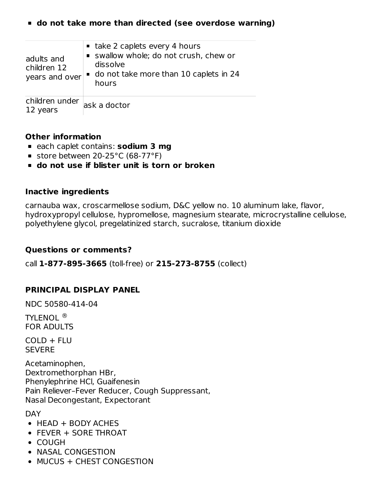# **do not take more than directed (see overdose warning)**

| adults and<br>children 12<br>years and over | $\bullet$ take 2 caplets every 4 hours<br>• swallow whole; do not crush, chew or<br>dissolve<br>do not take more than 10 caplets in 24<br>hours |
|---------------------------------------------|-------------------------------------------------------------------------------------------------------------------------------------------------|
| children under                              | ack a doctor                                                                                                                                    |

12 years ask a doctor

#### **Other information**

- each caplet contains: **sodium 3 mg**
- store between 20-25°C (68-77°F)
- **do not use if blister unit is torn or broken**

#### **Inactive ingredients**

carnauba wax, croscarmellose sodium, D&C yellow no. 10 aluminum lake, flavor, hydroxypropyl cellulose, hypromellose, magnesium stearate, microcrystalline cellulose, polyethylene glycol, pregelatinized starch, sucralose, titanium dioxide

#### **Questions or comments?**

call **1-877-895-3665** (toll-free) or **215-273-8755** (collect)

# **PRINCIPAL DISPLAY PANEL**

NDC 50580-414-04

TYLENOL ®FOR ADULTS

COLD + FLU **SEVERE** 

Acetaminophen, Dextromethorphan HBr, Phenylephrine HCl, Guaifenesin Pain Reliever–Fever Reducer, Cough Suppressant, Nasal Decongestant, Expectorant

#### **DAY**

- HEAD + BODY ACHES
- FEVER + SORE THROAT
- COUGH
- NASAL CONGESTION
- MUCUS + CHEST CONGESTION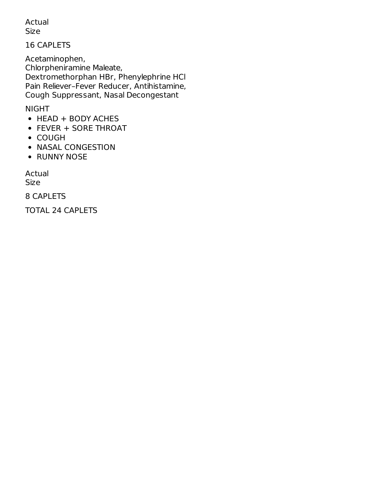Actual Size

16 CAPLETS

Acetaminophen, Chlorpheniramine Maleate, Dextromethorphan HBr, Phenylephrine HCl Pain Reliever–Fever Reducer, Antihistamine, Cough Suppressant, Nasal Decongestant

NIGHT

- HEAD + BODY ACHES
- FEVER + SORE THROAT
- COUGH
- NASAL CONGESTION
- RUNNY NOSE

Actual

Size

8 CAPLETS

TOTAL 24 CAPLETS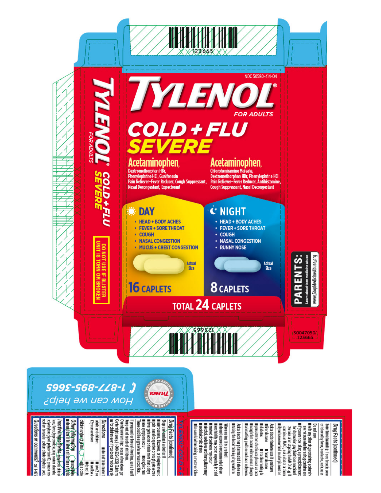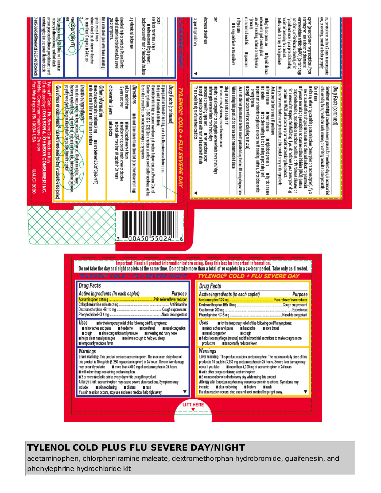| um starchglyco bie, sucabose, tilan ium dioxide<br>oricite, powdered cellulose, pregetatinized stand,<br>microay stalin ecellulose, modified starch<br>did-tarnaubawtar. FD&C blue no. 1 alum inum<br>went 2012° C (68-17°F)<br>plets every 4 hours<br>F895-3665 (bll-free) or 215-273-8755 (collect)<br>e more than 10 capiels in 24 hours<br>whole; donot crush, chew or dissolve<br>han directed (see overdose warning)                                                                                                                                                                                                                                                                                                                                                                                                                                                                                                                                                                                                                                                                                                                                                                                                                                                                                                                                                                                                                                                                                                                                                                                                                                                                                                                                                                                                | edical attention is critical for adults as well<br>t medical help or contact a Poison Control<br>er lasts more than 7 days<br>JR330<br>pisor symptoms.<br>back or occurs with rash or header he that lasts<br>professional leader use<br>U SEVERE<br>Bedness orswelling is present<br><b>WGHT</b>                                                                                                                                                                                                                                                                                                                                                                                                                                    | e if you are<br>urs with smoking, asth ma or empty sema<br>nacist before taking this product.<br>oamne oxidase inititior (MAOI) (certain drugs<br>ilaminophan, ask a doctor or pharmacist.<br>a o rchronic bio nchitis<br>Sncm  <br>ophen (prescription or nonprescription). If you<br>ne, persists form ore than 2 days, is accompanied.<br>:ea , or vomiting , consult a doctor promptly.<br>冨<br>e to an enlarged prostate gland<br>o qeralng machinen<br>intrease drowshess<br>you do not know if your prescription drug<br>conditions, or Parkinson's disease), or for<br>High blood pressure<br>to this product or any of its ingredients<br>∎ taking sedatives or tranquitzers<br><b>Buccares</b><br>If thy rold disease                                                                                                                                                                                                                                                                                                                                                                                                                                                                                                                                                                                                                                                                                                                                                                                                                                                                                                         |                                                                                                                  |  |  |  |  |
|---------------------------------------------------------------------------------------------------------------------------------------------------------------------------------------------------------------------------------------------------------------------------------------------------------------------------------------------------------------------------------------------------------------------------------------------------------------------------------------------------------------------------------------------------------------------------------------------------------------------------------------------------------------------------------------------------------------------------------------------------------------------------------------------------------------------------------------------------------------------------------------------------------------------------------------------------------------------------------------------------------------------------------------------------------------------------------------------------------------------------------------------------------------------------------------------------------------------------------------------------------------------------------------------------------------------------------------------------------------------------------------------------------------------------------------------------------------------------------------------------------------------------------------------------------------------------------------------------------------------------------------------------------------------------------------------------------------------------------------------------------------------------------------------------------------------------|--------------------------------------------------------------------------------------------------------------------------------------------------------------------------------------------------------------------------------------------------------------------------------------------------------------------------------------------------------------------------------------------------------------------------------------------------------------------------------------------------------------------------------------------------------------------------------------------------------------------------------------------------------------------------------------------------------------------------------------|-----------------------------------------------------------------------------------------------------------------------------------------------------------------------------------------------------------------------------------------------------------------------------------------------------------------------------------------------------------------------------------------------------------------------------------------------------------------------------------------------------------------------------------------------------------------------------------------------------------------------------------------------------------------------------------------------------------------------------------------------------------------------------------------------------------------------------------------------------------------------------------------------------------------------------------------------------------------------------------------------------------------------------------------------------------------------------------------------------------------------------------------------------------------------------------------------------------------------------------------------------------------------------------------------------------------------------------------------------------------------------------------------------------------------------------------------------------------------------------------------------------------------------------------------------------------------------------------------------------------------------------------|------------------------------------------------------------------------------------------------------------------|--|--|--|--|
| Tylend® Cold + Ru Severe Day Made in Italy<br>Distributed by: JOHNSON & JOHNSON CONSUMER INC.<br>McNeil Consumer Heathcare Division<br>Fort Washington, PA 19034 USA<br>ca mauba wax, capstarme boy sodium, D&C yellow pot. 10 alumin um late. Havor<br>a do not use if blister unit is tom or broken<br>hytoxyp.oryl refluxek, hyfonine boek, megne and y skea ete, jn trockyste line Gelibb.<br>polyetly lene glytol, Tregeleti ized starch, suce trijek, tien nim dux va<br>each capet cottars: sodium 3 mg<br>Other information<br>Questions or comments? Call+e77-ess-sees tellined or 215 a45 enss (collect<br>Inactive ingredients<br>■ store belween 20-25°C (68-77°F)<br>@J&JCI 2020                                                                                                                                                                                                                                                                                                                                                                                                                                                                                                                                                                                                                                                                                                                                                                                                                                                                                                                                                                                                                                                                                                                             | forchid eneven if you do not no tice any signs or symptoms.<br>Center right away. (1-800-222-1222) Quick medical attention is critical for adults as well as<br>chidrenunder 12 years<br>adults and children<br>Overdose waming: In case of overdose, get medical help or contact a Poison Control<br>Keep out of children.<br>12 years and over<br>Directions<br>Drug Facts (continued)<br>If pregnant or breast-feeding, ask a health prefessional before use.<br><b>TYLENOL® COLD +</b><br>o not take more than directed (see overdose warning)<br>ask a doctor<br>swalow whole; do not crush, chew or dissolve<br>ob not take more than 10 caplets in 24 hours<br>Biblie 2 capiets every 4 hours<br>면<br>c<br><b>SEVERE</b><br>5 | Stop use and ask a doctor if<br>orfollowed by fever, headache, rash, rrausea, orvorniting, consult a doctor promptly.<br><b>Intervousness, dizziness, or steepiessness coold</b><br>■ persistent or chronic cough such as occurswith smoking, asthma, chronic bronchitis<br>Ask a doctor before use if you have<br>≣ comes back or occurs with rash or headach eth at lasts<br><b>Eredness or swelling is present</b><br>When using this product do not exceed recommended dose<br>Aska doctor or pharmacist before use ifyou are taking the bood thinning drugwarfain<br>lifyou have ever had an allergic reaction to this product or any of its ingredients<br>Do not use<br>These could be signs of a serious condition.<br>macocus with booms bhlegm (mucus)<br>≣with any other drug containing acetamin ophen (prescription orn onprescription). If you<br>firever geas worse or lests more than 3 days<br>ipan, nasa congasion or cough gets worse or lasts more than 7 days<br>liver disease<br>ldiabetes<br>if you are now taking a pescription moncemine oxidase inhibitor (MAC) i (certain<br>are not sure whether a drug contains acetamino phen, ask a docto ror pharmacist<br>for 2 weeks after stopping the MAOI drug. If you do not know if your prescription drug<br>drugs for depression, psychiatric or emotional conditions, or Parkinson's disease), or<br>or emphysema<br>cortains an MAOI, ask a doctor or pharmacist before taking this product.<br>■ trouble urinating due to an en langed prostate gland<br>heart disease<br><b>ILIGH SYMPROMIS OCCLE</b><br>In high blood pressure<br><b>Hilyroid disease</b> | Sore throat warming: if sore troatis seren, persists for more trand days, is accompaned<br>Drug Facts (continued |  |  |  |  |
| 5<br>8<br><b>Drug Facts</b><br><b>Drug Facts</b><br>Active ingredients (in each caplet)<br>Purpose<br>Active ingredients (in each caplet)<br>Purpose<br>Uses<br>■ for the temporary relief of the following cold/flu symptoms:<br>Uses<br>■ for the temporary relief of the following cold/flu symptoms:<br>minor aches and pains in headache misore throat<br>nasal congestion<br>minor aches and pains<br>n headache<br>sore throat<br>cough Esinus congestion and pressure Esneezing and runny nose<br>nasal congestion<br>a cough<br>Il helps loosen phlegm (mucus) and thin bronchial secretions to make coughs more<br>helps clear nasal passages in relieves cough to helpy ou sleep<br>temporarily reduces fever<br>temporarily reduces fever<br>productive<br><b>Warnings</b><br>Warnings<br>Liver warning: This product contains acetaminophen. The maximum daily dose of<br>Liver warning: This product contains acetaminophen. The maximum daily dose of this<br>this product is 10 caplets (3,250 mg acetaminophen) in 24 hours. Severe liver damage<br>product is 10 caplets (3,250 mg acetaminophen) in 24 hours. Severe liver damage may<br>may occur if you take in more than 4,000 mg of acetaminophen in 24 hours<br>occur if you take more than 4,000 mg of acetaminophen in 24 hours<br>with other drugs containing acetaminophen<br>with other drugs containing acetaminophen<br>3 or more alcoholic drinks every day while using this product<br>3 or more alcoholic drinks every day while using this product<br>Allergy alert: acetaminophen may cause severe skin reactions. Symptoms may<br>include: skin reddening in blisters in rash<br>If a skin reaction occurs, stop use and seek medical help right away.<br>If a skin reaction occurs, stop use and seek medical help right away.<br>▼ |                                                                                                                                                                                                                                                                                                                                                                                                                                                                                                                                                                                                                                                                                                                                      |                                                                                                                                                                                                                                                                                                                                                                                                                                                                                                                                                                                                                                                                                                                                                                                                                                                                                                                                                                                                                                                                                                                                                                                                                                                                                                                                                                                                                                                                                                                                                                                                                                         |                                                                                                                  |  |  |  |  |

# **TYLENOL COLD PLUS FLU SEVERE DAY/NIGHT**

acetaminophen, chlorpheniramine maleate, dextromethorphan hydrobromide, guaifenesin, and phenylephrine hydrochloride kit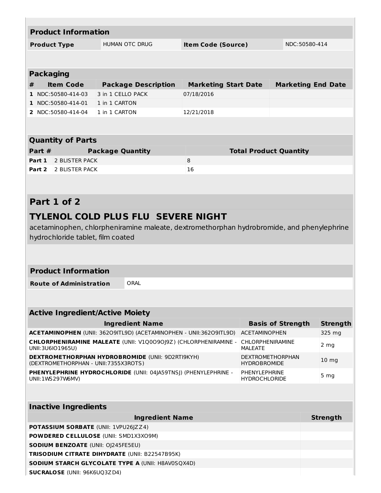| <b>Product Information</b>                  |                                                                                           |                             |                                                |                           |                  |
|---------------------------------------------|-------------------------------------------------------------------------------------------|-----------------------------|------------------------------------------------|---------------------------|------------------|
| <b>Product Type</b>                         | <b>HUMAN OTC DRUG</b>                                                                     | <b>Item Code (Source)</b>   |                                                | NDC:50580-414             |                  |
|                                             |                                                                                           |                             |                                                |                           |                  |
|                                             |                                                                                           |                             |                                                |                           |                  |
| <b>Packaging</b>                            |                                                                                           |                             |                                                |                           |                  |
| <b>Item Code</b><br>#                       | <b>Package Description</b>                                                                | <b>Marketing Start Date</b> |                                                | <b>Marketing End Date</b> |                  |
| 1 NDC:50580-414-03                          | 3 in 1 CELLO PACK                                                                         | 07/18/2016                  |                                                |                           |                  |
| 1 NDC:50580-414-01                          | 1 in 1 CARTON                                                                             |                             |                                                |                           |                  |
| 2 NDC:50580-414-04                          | 1 in 1 CARTON                                                                             | 12/21/2018                  |                                                |                           |                  |
|                                             |                                                                                           |                             |                                                |                           |                  |
|                                             |                                                                                           |                             |                                                |                           |                  |
| <b>Quantity of Parts</b>                    |                                                                                           |                             |                                                |                           |                  |
| Part #                                      | <b>Package Quantity</b>                                                                   |                             | <b>Total Product Quantity</b>                  |                           |                  |
| Part 1<br>2 BLISTER PACK                    |                                                                                           | 8                           |                                                |                           |                  |
| 2 BLISTER PACK<br>Part 2                    |                                                                                           | 16                          |                                                |                           |                  |
|                                             |                                                                                           |                             |                                                |                           |                  |
|                                             |                                                                                           |                             |                                                |                           |                  |
| Part 1 of 2                                 |                                                                                           |                             |                                                |                           |                  |
|                                             |                                                                                           |                             |                                                |                           |                  |
|                                             | <b>TYLENOL COLD PLUS FLU SEVERE NIGHT</b>                                                 |                             |                                                |                           |                  |
|                                             | acetaminophen, chlorpheniramine maleate, dextromethorphan hydrobromide, and phenylephrine |                             |                                                |                           |                  |
| hydrochloride tablet, film coated           |                                                                                           |                             |                                                |                           |                  |
|                                             |                                                                                           |                             |                                                |                           |                  |
|                                             |                                                                                           |                             |                                                |                           |                  |
| <b>Product Information</b>                  |                                                                                           |                             |                                                |                           |                  |
| <b>Route of Administration</b>              | ORAL                                                                                      |                             |                                                |                           |                  |
|                                             |                                                                                           |                             |                                                |                           |                  |
|                                             |                                                                                           |                             |                                                |                           |                  |
| <b>Active Ingredient/Active Moiety</b>      |                                                                                           |                             |                                                |                           |                  |
|                                             | <b>Ingredient Name</b>                                                                    |                             |                                                | <b>Basis of Strength</b>  | <b>Strength</b>  |
|                                             | ACETAMINOPHEN (UNII: 36209ITL9D) (ACETAMINOPHEN - UNII:36209ITL9D)                        |                             | <b>ACETAMINOPHEN</b>                           |                           | 325 mg           |
|                                             | CHLORPHENIRAMINE MALEATE (UNII: V1Q0090J9Z) (CHLORPHENIRAMINE -                           |                             | <b>CHLORPHENIRAMINE</b>                        |                           | 2 <sub>mg</sub>  |
| UNII:3U6IO1965U)                            |                                                                                           |                             | <b>MALEATE</b>                                 |                           |                  |
| (DEXTROMETHORPHAN - UNII: 7355X3ROTS)       | <b>DEXTROMETHORPHAN HYDROBROMIDE (UNII: 9D2RTI9KYH)</b>                                   |                             | <b>DEXTROMETHORPHAN</b><br><b>HYDROBROMIDE</b> |                           | 10 <sub>mg</sub> |
|                                             | PHENYLEPHRINE HYDROCHLORIDE (UNII: 04JA59TNSJ) (PHENYLEPHRINE -                           |                             | <b>PHENYLEPHRINE</b>                           |                           |                  |
| UNII: 1WS 297W6MV)                          |                                                                                           |                             | <b>HYDROCHLORIDE</b>                           |                           | 5 <sub>mg</sub>  |
|                                             |                                                                                           |                             |                                                |                           |                  |
|                                             |                                                                                           |                             |                                                |                           |                  |
| <b>Inactive Ingredients</b>                 |                                                                                           |                             |                                                |                           |                  |
|                                             | <b>Ingredient Name</b>                                                                    |                             |                                                |                           | <b>Strength</b>  |
| <b>POTASSIUM SORBATE (UNII: 1VPU26JZZ4)</b> |                                                                                           |                             |                                                |                           |                  |
|                                             | POWDERED CELLULOSE (UNII: SMD1X3XO9M)                                                     |                             |                                                |                           |                  |
| <b>SODIUM BENZOATE (UNII: OJ245FE5EU)</b>   |                                                                                           |                             |                                                |                           |                  |
|                                             | TRISODIUM CITRATE DIHYDRATE (UNII: B22547B95K)                                            |                             |                                                |                           |                  |
|                                             | SODIUM STARCH GLYCOLATE TYPE A (UNII: H8AV0SQX4D)                                         |                             |                                                |                           |                  |

**SUCRALOSE** (UNII: 96K6UQ3ZD4)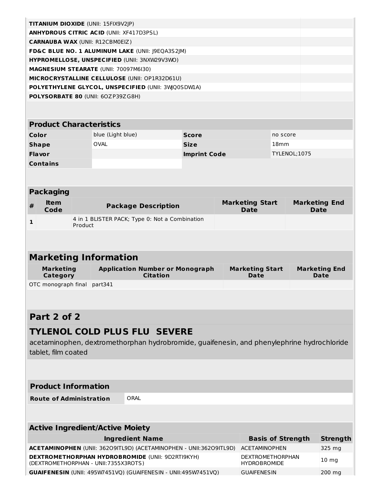| <b>TITANIUM DIOXIDE (UNII: 15FIX9V2IP)</b>       |         |                   |                                                                                            |                     |  |                                                |                  |                              |
|--------------------------------------------------|---------|-------------------|--------------------------------------------------------------------------------------------|---------------------|--|------------------------------------------------|------------------|------------------------------|
| <b>ANHYDROUS CITRIC ACID (UNII: XF417D3PSL)</b>  |         |                   |                                                                                            |                     |  |                                                |                  |                              |
| <b>CARNAUBA WAX (UNII: R12CBM0EIZ)</b>           |         |                   |                                                                                            |                     |  |                                                |                  |                              |
| FD&C BLUE NO. 1 ALUMINUM LAKE (UNII: J9EQA3S2JM) |         |                   |                                                                                            |                     |  |                                                |                  |                              |
|                                                  |         |                   | HYPROMELLOSE, UNSPECIFIED (UNII: 3NXW29V3WO)                                               |                     |  |                                                |                  |                              |
| MAGNESIUM STEARATE (UNII: 70097M6I30)            |         |                   |                                                                                            |                     |  |                                                |                  |                              |
|                                                  |         |                   | MICROCRYSTALLINE CELLULOSE (UNII: OP1R32D61U)                                              |                     |  |                                                |                  |                              |
|                                                  |         |                   | POLYETHYLENE GLYCOL, UNSPECIFIED (UNII: 3WQ0SDWLA)                                         |                     |  |                                                |                  |                              |
| POLYSORBATE 80 (UNII: 60ZP39ZG8H)                |         |                   |                                                                                            |                     |  |                                                |                  |                              |
|                                                  |         |                   |                                                                                            |                     |  |                                                |                  |                              |
| <b>Product Characteristics</b>                   |         |                   |                                                                                            |                     |  |                                                |                  |                              |
| Color                                            |         | blue (Light blue) |                                                                                            | Score               |  |                                                | no score         |                              |
| <b>Shape</b>                                     |         | <b>OVAL</b>       |                                                                                            | <b>Size</b>         |  |                                                | 18 <sub>mm</sub> |                              |
| Flavor                                           |         |                   |                                                                                            | <b>Imprint Code</b> |  |                                                | TYLENOL;1075     |                              |
| <b>Contains</b>                                  |         |                   |                                                                                            |                     |  |                                                |                  |                              |
|                                                  |         |                   |                                                                                            |                     |  |                                                |                  |                              |
|                                                  |         |                   |                                                                                            |                     |  |                                                |                  |                              |
| <b>Packaging</b>                                 |         |                   |                                                                                            |                     |  |                                                |                  |                              |
| <b>Item</b><br>#<br>Code                         |         |                   | <b>Package Description</b>                                                                 |                     |  | <b>Marketing Start</b><br><b>Date</b>          |                  | <b>Marketing End</b><br>Date |
|                                                  |         |                   | 4 in 1 BLISTER PACK; Type 0: Not a Combination                                             |                     |  |                                                |                  |                              |
| ı                                                | Product |                   |                                                                                            |                     |  |                                                |                  |                              |
|                                                  |         |                   |                                                                                            |                     |  |                                                |                  |                              |
|                                                  |         |                   |                                                                                            |                     |  |                                                |                  |                              |
| <b>Marketing Information</b>                     |         |                   |                                                                                            |                     |  |                                                |                  |                              |
| <b>Marketing</b><br><b>Category</b>              |         |                   | <b>Application Number or Monograph</b><br><b>Citation</b>                                  |                     |  | <b>Marketing Start</b><br>Date                 |                  | <b>Marketing End</b><br>Date |
| OTC monograph final                              |         | part341           |                                                                                            |                     |  |                                                |                  |                              |
|                                                  |         |                   |                                                                                            |                     |  |                                                |                  |                              |
|                                                  |         |                   |                                                                                            |                     |  |                                                |                  |                              |
| Part 2 of 2                                      |         |                   |                                                                                            |                     |  |                                                |                  |                              |
|                                                  |         |                   |                                                                                            |                     |  |                                                |                  |                              |
|                                                  |         |                   | <b>TYLENOL COLD PLUS FLU SEVERE</b>                                                        |                     |  |                                                |                  |                              |
|                                                  |         |                   | acetaminophen, dextromethorphan hydrobromide, guaifenesin, and phenylephrine hydrochloride |                     |  |                                                |                  |                              |
| tablet, film coated                              |         |                   |                                                                                            |                     |  |                                                |                  |                              |
|                                                  |         |                   |                                                                                            |                     |  |                                                |                  |                              |
|                                                  |         |                   |                                                                                            |                     |  |                                                |                  |                              |
| <b>Product Information</b>                       |         |                   |                                                                                            |                     |  |                                                |                  |                              |
| <b>Route of Administration</b>                   |         |                   |                                                                                            |                     |  |                                                |                  |                              |
|                                                  |         |                   | ORAL                                                                                       |                     |  |                                                |                  |                              |
|                                                  |         |                   |                                                                                            |                     |  |                                                |                  |                              |
| <b>Active Ingredient/Active Moiety</b>           |         |                   |                                                                                            |                     |  |                                                |                  |                              |
|                                                  |         |                   | <b>Ingredient Name</b>                                                                     |                     |  | <b>Basis of Strength</b>                       |                  | <b>Strength</b>              |
|                                                  |         |                   | ACETAMINOPHEN (UNII: 36209ITL9D) (ACETAMINOPHEN - UNII:36209ITL9D)                         |                     |  | <b>ACETAMINOPHEN</b>                           |                  | 325 mg                       |
| (DEXTROMETHORPHAN - UNII: 7355X3ROTS)            |         |                   | <b>DEXTROMETHORPHAN HYDROBROMIDE (UNII: 9D2RTI9KYH)</b>                                    |                     |  | <b>DEXTROMETHORPHAN</b><br><b>HYDROBROMIDE</b> |                  | 10 <sub>mg</sub>             |